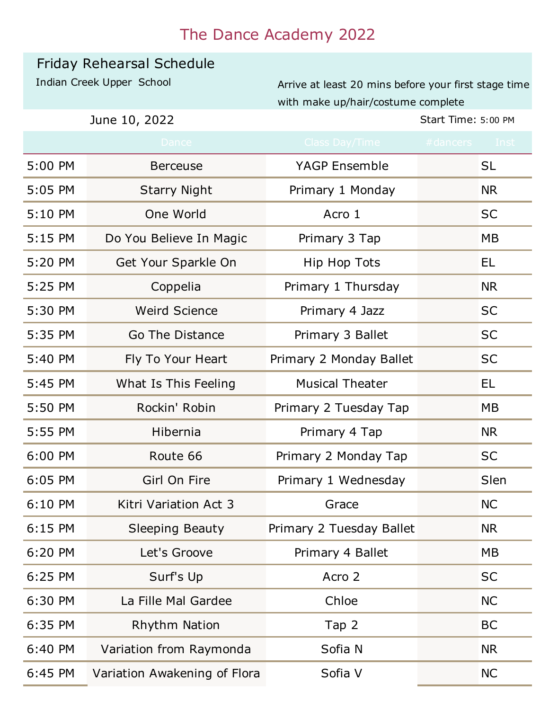## The Dance Academy 2022

## Friday Rehearsal Schedule

Indian Creek Upper School Arrive at least 20 mins before your first stage time with make up/hair/costume complete

**June 10, 2022** Start Time: 5:00 PM

|         | Dance                        | Class Day/Time           | #dancers | <b>Inst</b> |
|---------|------------------------------|--------------------------|----------|-------------|
| 5:00 PM | <b>Berceuse</b>              | <b>YAGP Ensemble</b>     |          | SL          |
| 5:05 PM | <b>Starry Night</b>          | Primary 1 Monday         |          | <b>NR</b>   |
| 5:10 PM | One World                    | Acro 1                   |          | <b>SC</b>   |
| 5:15 PM | Do You Believe In Magic      | Primary 3 Tap            |          | <b>MB</b>   |
| 5:20 PM | Get Your Sparkle On          | Hip Hop Tots             |          | EL.         |
| 5:25 PM | Coppelia                     | Primary 1 Thursday       |          | <b>NR</b>   |
| 5:30 PM | <b>Weird Science</b>         | Primary 4 Jazz           |          | <b>SC</b>   |
| 5:35 PM | Go The Distance              | Primary 3 Ballet         |          | <b>SC</b>   |
| 5:40 PM | Fly To Your Heart            | Primary 2 Monday Ballet  |          | <b>SC</b>   |
| 5:45 PM | What Is This Feeling         | <b>Musical Theater</b>   |          | EL          |
| 5:50 PM | Rockin' Robin                | Primary 2 Tuesday Tap    |          | МB          |
| 5:55 PM | Hibernia                     | Primary 4 Tap            |          | <b>NR</b>   |
| 6:00 PM | Route 66                     | Primary 2 Monday Tap     |          | <b>SC</b>   |
| 6:05 PM | Girl On Fire                 | Primary 1 Wednesday      |          | Slen        |
| 6:10 PM | Kitri Variation Act 3        | Grace                    |          | <b>NC</b>   |
| 6:15 PM | <b>Sleeping Beauty</b>       | Primary 2 Tuesday Ballet |          | <b>NR</b>   |
| 6:20 PM | Let's Groove                 | Primary 4 Ballet         |          | MB          |
| 6:25 PM | Surf's Up                    | Acro 2                   |          | <b>SC</b>   |
| 6:30 PM | La Fille Mal Gardee          | Chloe                    |          | <b>NC</b>   |
| 6:35 PM | <b>Rhythm Nation</b>         | Tap 2                    |          | <b>BC</b>   |
| 6:40 PM | Variation from Raymonda      | Sofia N                  |          | <b>NR</b>   |
| 6:45 PM | Variation Awakening of Flora | Sofia V                  |          | <b>NC</b>   |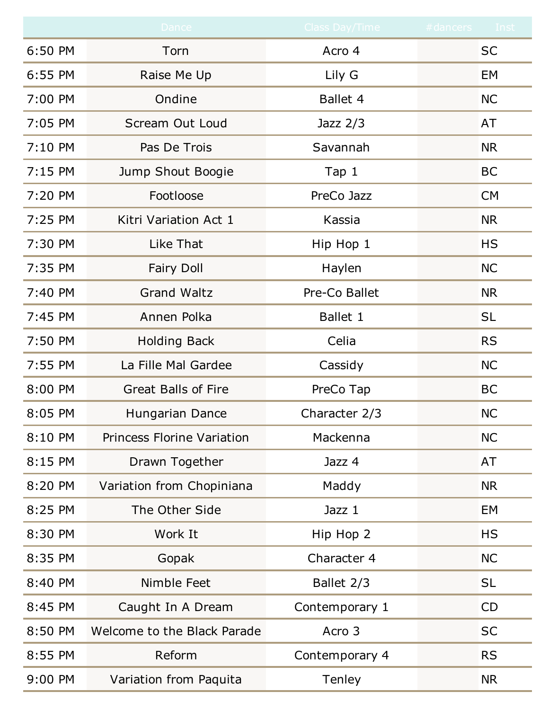|         | Dance                             | Class Day/Time | #dancers Inst |
|---------|-----------------------------------|----------------|---------------|
| 6:50 PM | Torn                              | Acro 4         | <b>SC</b>     |
| 6:55 PM | Raise Me Up                       | Lily G         | EM            |
| 7:00 PM | Ondine                            | Ballet 4       | <b>NC</b>     |
| 7:05 PM | Scream Out Loud                   | Jazz $2/3$     | AT            |
| 7:10 PM | Pas De Trois                      | Savannah       | <b>NR</b>     |
| 7:15 PM | Jump Shout Boogie                 | Tap 1          | <b>BC</b>     |
| 7:20 PM | Footloose                         | PreCo Jazz     | <b>CM</b>     |
| 7:25 PM | Kitri Variation Act 1             | Kassia         | <b>NR</b>     |
| 7:30 PM | Like That                         | Hip Hop 1      | <b>HS</b>     |
| 7:35 PM | <b>Fairy Doll</b>                 | Haylen         | <b>NC</b>     |
| 7:40 PM | <b>Grand Waltz</b>                | Pre-Co Ballet  | <b>NR</b>     |
| 7:45 PM | Annen Polka                       | Ballet 1       | <b>SL</b>     |
| 7:50 PM | <b>Holding Back</b>               | Celia          | <b>RS</b>     |
| 7:55 PM | La Fille Mal Gardee               | Cassidy        | <b>NC</b>     |
| 8:00 PM | <b>Great Balls of Fire</b>        | PreCo Tap      | <b>BC</b>     |
| 8:05 PM | Hungarian Dance                   | Character 2/3  | <b>NC</b>     |
| 8:10 PM | <b>Princess Florine Variation</b> | Mackenna       | <b>NC</b>     |
| 8:15 PM | Drawn Together                    | Jazz 4         | AT            |
| 8:20 PM | Variation from Chopiniana         | Maddy          | <b>NR</b>     |
| 8:25 PM | The Other Side                    | Jazz 1         | EM            |
| 8:30 PM | Work It                           | Hip Hop 2      | <b>HS</b>     |
| 8:35 PM | Gopak                             | Character 4    | <b>NC</b>     |
| 8:40 PM | Nimble Feet                       | Ballet 2/3     | <b>SL</b>     |
| 8:45 PM | Caught In A Dream                 | Contemporary 1 | CD            |
| 8:50 PM | Welcome to the Black Parade       | Acro 3         | <b>SC</b>     |
| 8:55 PM | Reform                            | Contemporary 4 | <b>RS</b>     |
| 9:00 PM | Variation from Paquita            | <b>Tenley</b>  | <b>NR</b>     |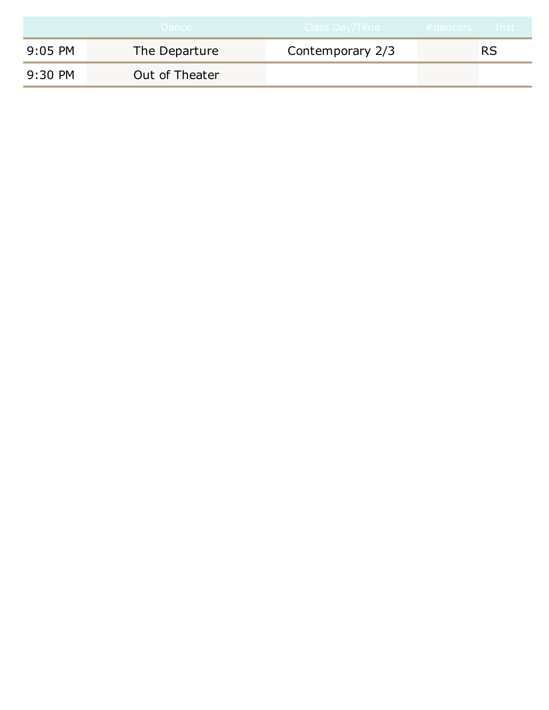|         | Dance          | ' Class Day/Time  , | #dancers Inst |
|---------|----------------|---------------------|---------------|
| 9:05 PM | The Departure  | Contemporary 2/3    | RS            |
| 9:30 PM | Out of Theater |                     |               |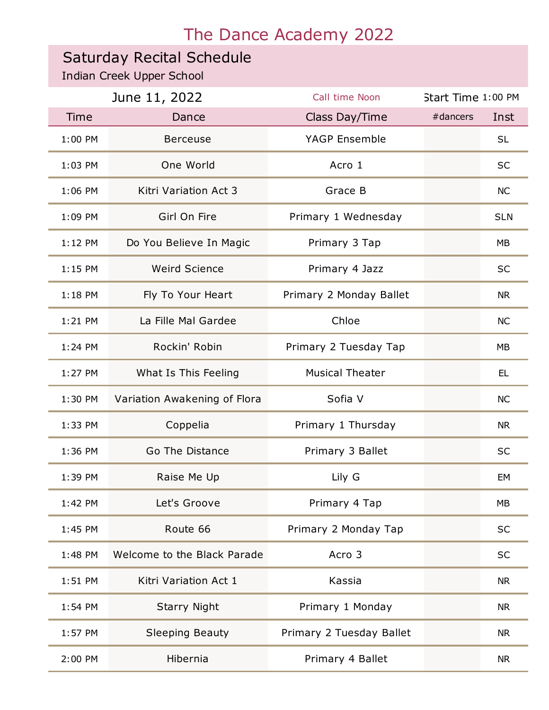## The Dance Academy 2022

## Saturday Recital Schedule

Indian Creek Upper School

| June 11, 2022 |                              | Call time Noon           | Start Time 1:00 PM |            |
|---------------|------------------------------|--------------------------|--------------------|------------|
| <b>Time</b>   | Dance                        | Class Day/Time           | #dancers           | Inst       |
| 1:00 PM       | <b>Berceuse</b>              | YAGP Ensemble            |                    | <b>SL</b>  |
| 1:03 PM       | One World                    | Acro 1                   |                    | <b>SC</b>  |
| 1:06 PM       | Kitri Variation Act 3        | Grace B                  |                    | <b>NC</b>  |
| 1:09 PM       | Girl On Fire                 | Primary 1 Wednesday      |                    | <b>SLN</b> |
| $1:12$ PM     | Do You Believe In Magic      | Primary 3 Tap            |                    | <b>MB</b>  |
| $1:15$ PM     | <b>Weird Science</b>         | Primary 4 Jazz           |                    | <b>SC</b>  |
| $1:18$ PM     | Fly To Your Heart            | Primary 2 Monday Ballet  |                    | <b>NR</b>  |
| 1:21 PM       | La Fille Mal Gardee          | Chloe                    |                    | <b>NC</b>  |
| 1:24 PM       | Rockin' Robin                | Primary 2 Tuesday Tap    |                    | MB         |
| 1:27 PM       | What Is This Feeling         | <b>Musical Theater</b>   |                    | EL.        |
| 1:30 PM       | Variation Awakening of Flora | Sofia V                  |                    | <b>NC</b>  |
| 1:33 PM       | Coppelia                     | Primary 1 Thursday       |                    | <b>NR</b>  |
| 1:36 PM       | Go The Distance              | Primary 3 Ballet         |                    | <b>SC</b>  |
| 1:39 PM       | Raise Me Up                  | Lily G                   |                    | EM         |
| 1:42 PM       | Let's Groove                 | Primary 4 Tap            |                    | <b>MB</b>  |
| 1:45 PM       | Route 66                     | Primary 2 Monday Tap     |                    | <b>SC</b>  |
| 1:48 PM       | Welcome to the Black Parade  | Acro 3                   |                    | <b>SC</b>  |
| 1:51 PM       | Kitri Variation Act 1        | Kassia                   |                    | <b>NR</b>  |
| $1:54$ PM     | <b>Starry Night</b>          | Primary 1 Monday         |                    | <b>NR</b>  |
| $1:57$ PM     | <b>Sleeping Beauty</b>       | Primary 2 Tuesday Ballet |                    | <b>NR</b>  |
| 2:00 PM       | Hibernia                     | Primary 4 Ballet         |                    | <b>NR</b>  |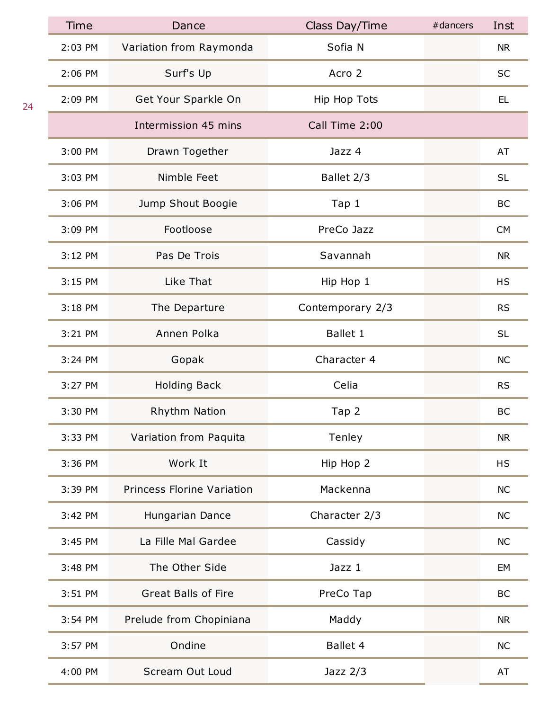| <b>Time</b> | Dance                      | Class Day/Time   | #dancers | Inst      |
|-------------|----------------------------|------------------|----------|-----------|
| 2:03 PM     | Variation from Raymonda    | Sofia N          |          | <b>NR</b> |
| 2:06 PM     | Surf's Up                  | Acro 2           |          | <b>SC</b> |
| 2:09 PM     | Get Your Sparkle On        | Hip Hop Tots     |          | EL.       |
|             | Intermission 45 mins       | Call Time 2:00   |          |           |
| 3:00 PM     | Drawn Together             | Jazz 4           |          | AT        |
| 3:03 PM     | Nimble Feet                | Ballet 2/3       |          | <b>SL</b> |
| 3:06 PM     | Jump Shout Boogie          | Tap 1            |          | BC        |
| 3:09 PM     | Footloose                  | PreCo Jazz       |          | <b>CM</b> |
| 3:12 PM     | Pas De Trois               | Savannah         |          | <b>NR</b> |
| 3:15 PM     | Like That                  | Hip Hop 1        |          | <b>HS</b> |
| 3:18 PM     | The Departure              | Contemporary 2/3 |          | <b>RS</b> |
| 3:21 PM     | Annen Polka                | <b>Ballet 1</b>  |          | <b>SL</b> |
| 3:24 PM     | Gopak                      | Character 4      |          | <b>NC</b> |
| 3:27 PM     | <b>Holding Back</b>        | Celia            |          | <b>RS</b> |
| 3:30 PM     | Rhythm Nation              | Tap 2            |          | <b>BC</b> |
| 3:33 PM     | Variation from Paquita     | Tenley           |          | <b>NR</b> |
| 3:36 PM     | Work It                    | Hip Hop 2        |          | <b>HS</b> |
| 3:39 PM     | Princess Florine Variation | Mackenna         |          | <b>NC</b> |
| 3:42 PM     | Hungarian Dance            | Character 2/3    |          | <b>NC</b> |
| 3:45 PM     | La Fille Mal Gardee        | Cassidy          |          | <b>NC</b> |
| 3:48 PM     | The Other Side             | Jazz 1           |          | EM        |
| 3:51 PM     | <b>Great Balls of Fire</b> | PreCo Tap        |          | BC        |
| 3:54 PM     | Prelude from Chopiniana    | Maddy            |          | <b>NR</b> |
| 3:57 PM     | Ondine                     | Ballet 4         |          | <b>NC</b> |
| 4:00 PM     | Scream Out Loud            | Jazz $2/3$       |          | AT        |